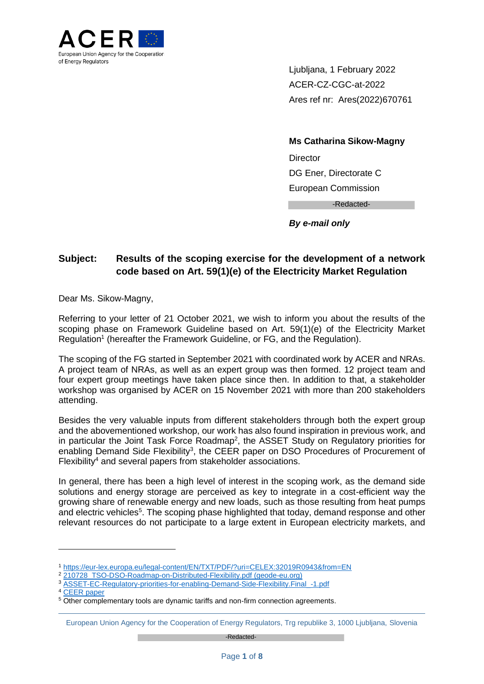

Ljubljana, 1 February 2022 ACER-CZ-CGC-at-2022 Ares ref nr: Ares(2022)670761

**Ms Catharina Sikow-Magny Director** DG Ener, Directorate C European Commission -Redacted-

*By e-mail only*

# **Subject: Results of the scoping exercise for the development of a network code based on Art. 59(1)(e) of the Electricity Market Regulation**

Dear Ms. Sikow-Magny,

Referring to your letter of 21 October 2021, we wish to inform you about the results of the scoping phase on Framework Guideline based on Art. 59(1)(e) of the Electricity Market Regulation<sup>1</sup> (hereafter the Framework Guideline, or FG, and the Regulation).

The scoping of the FG started in September 2021 with coordinated work by ACER and NRAs. A project team of NRAs, as well as an expert group was then formed. 12 project team and four expert group meetings have taken place since then. In addition to that, a stakeholder workshop was organised by ACER on 15 November 2021 with more than 200 stakeholders attending.

Besides the very valuable inputs from different stakeholders through both the expert group and the abovementioned workshop, our work has also found inspiration in previous work, and in particular the Joint Task Force Roadmap<sup>2</sup>, the ASSET Study on Regulatory priorities for enabling Demand Side Flexibility<sup>3</sup>, the CEER paper on DSO Procedures of Procurement of Flexibility<sup>4</sup> and several papers from stakeholder associations.

In general, there has been a high level of interest in the scoping work, as the demand side solutions and energy storage are perceived as key to integrate in a cost-efficient way the growing share of renewable energy and new loads, such as those resulting from heat pumps and electric vehicles<sup>5</sup>. The scoping phase highlighted that today, demand response and other relevant resources do not participate to a large extent in European electricity markets, and

-

<sup>1</sup> <https://eur-lex.europa.eu/legal-content/EN/TXT/PDF/?uri=CELEX:32019R0943&from=EN>

<sup>2</sup> [210728\\_TSO-DSO-Roadmap-on-Distributed-Flexibility.pdf \(geode-eu.org\)](https://www.geode-eu.org/wp-content/uploads/2021/07/210728_TSO-DSO-Roadmap-on-Distributed-Flexibility.pdf#:~:text=Against%20this%20background%2C%20the%20EU%20DSO%20associations%2C%20ENTSO-E,on%20aggregation%2C%20energy%20storage%20and%20demand%20curtailment%20rules.)

<sup>3</sup> [ASSET-EC-Regulatory-priorities-for-enabling-Demand-Side-Flexibility.Final\\_-1.pdf](https://asset-ec.eu/wp-content/uploads/2020/12/ASSET-EC-Regulatory-priorities-for-enabling-Demand-Side-Flexibility.Final_-1.pdf)

<sup>4</sup> [CEER paper](https://www.ceer.eu/documents/104400/-/-/f65ef568-dd7b-4f8c-d182-b04fc1656e58)

<sup>&</sup>lt;sup>5</sup> Other complementary tools are dynamic tariffs and non-firm connection agreements.

European Union Agency for the Cooperation of Energy Regulators, Trg republike 3, 1000 Ljubljana, Slovenia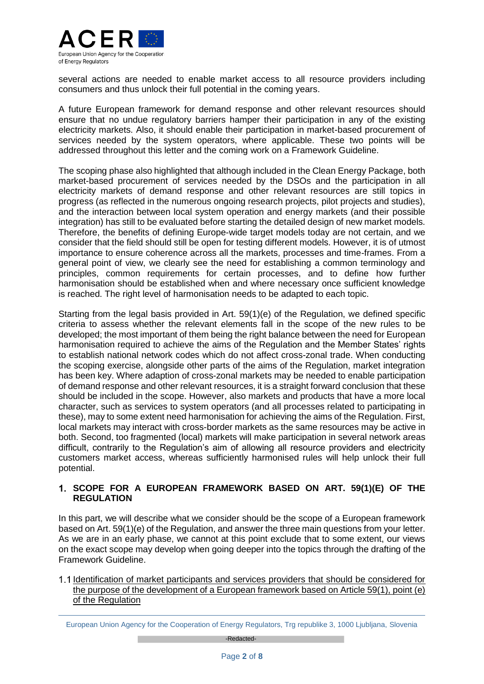

several actions are needed to enable market access to all resource providers including consumers and thus unlock their full potential in the coming years.

A future European framework for demand response and other relevant resources should ensure that no undue regulatory barriers hamper their participation in any of the existing electricity markets. Also, it should enable their participation in market-based procurement of services needed by the system operators, where applicable. These two points will be addressed throughout this letter and the coming work on a Framework Guideline.

The scoping phase also highlighted that although included in the Clean Energy Package, both market-based procurement of services needed by the DSOs and the participation in all electricity markets of demand response and other relevant resources are still topics in progress (as reflected in the numerous ongoing research projects, pilot projects and studies), and the interaction between local system operation and energy markets (and their possible integration) has still to be evaluated before starting the detailed design of new market models. Therefore, the benefits of defining Europe-wide target models today are not certain, and we consider that the field should still be open for testing different models. However, it is of utmost importance to ensure coherence across all the markets, processes and time-frames. From a general point of view, we clearly see the need for establishing a common terminology and principles, common requirements for certain processes, and to define how further harmonisation should be established when and where necessary once sufficient knowledge is reached. The right level of harmonisation needs to be adapted to each topic.

Starting from the legal basis provided in Art. 59(1)(e) of the Regulation, we defined specific criteria to assess whether the relevant elements fall in the scope of the new rules to be developed; the most important of them being the right balance between the need for European harmonisation required to achieve the aims of the Regulation and the Member States' rights to establish national network codes which do not affect cross-zonal trade. When conducting the scoping exercise, alongside other parts of the aims of the Regulation, market integration has been key. Where adaption of cross-zonal markets may be needed to enable participation of demand response and other relevant resources, it is a straight forward conclusion that these should be included in the scope. However, also markets and products that have a more local character, such as services to system operators (and all processes related to participating in these), may to some extent need harmonisation for achieving the aims of the Regulation. First, local markets may interact with cross-border markets as the same resources may be active in both. Second, too fragmented (local) markets will make participation in several network areas difficult, contrarily to the Regulation's aim of allowing all resource providers and electricity customers market access, whereas sufficiently harmonised rules will help unlock their full potential.

# **SCOPE FOR A EUROPEAN FRAMEWORK BASED ON ART. 59(1)(E) OF THE REGULATION**

In this part, we will describe what we consider should be the scope of a European framework based on Art. 59(1)(e) of the Regulation, and answer the three main questions from your letter. As we are in an early phase, we cannot at this point exclude that to some extent, our views on the exact scope may develop when going deeper into the topics through the drafting of the Framework Guideline.

1.1 Identification of market participants and services providers that should be considered for the purpose of the development of a European framework based on Article 59(1), point (e) of the Regulation

European Union Agency for the Cooperation of Energy Regulators, Trg republike 3, 1000 Ljubljana, Slovenia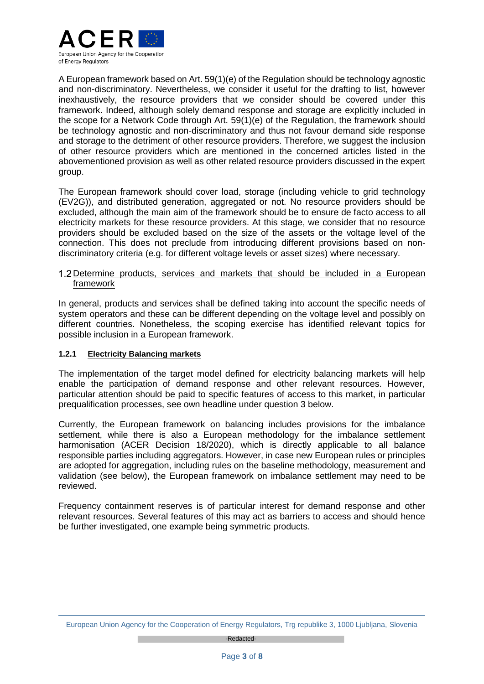

A European framework based on Art. 59(1)(e) of the Regulation should be technology agnostic and non-discriminatory. Nevertheless, we consider it useful for the drafting to list, however inexhaustively, the resource providers that we consider should be covered under this framework. Indeed, although solely demand response and storage are explicitly included in the scope for a Network Code through Art. 59(1)(e) of the Regulation, the framework should be technology agnostic and non-discriminatory and thus not favour demand side response and storage to the detriment of other resource providers. Therefore, we suggest the inclusion of other resource providers which are mentioned in the concerned articles listed in the abovementioned provision as well as other related resource providers discussed in the expert group.

The European framework should cover load, storage (including vehicle to grid technology (EV2G)), and distributed generation, aggregated or not. No resource providers should be excluded, although the main aim of the framework should be to ensure de facto access to all electricity markets for these resource providers. At this stage, we consider that no resource providers should be excluded based on the size of the assets or the voltage level of the connection. This does not preclude from introducing different provisions based on nondiscriminatory criteria (e.g. for different voltage levels or asset sizes) where necessary.

## 1.2 Determine products, services and markets that should be included in a European framework

In general, products and services shall be defined taking into account the specific needs of system operators and these can be different depending on the voltage level and possibly on different countries. Nonetheless, the scoping exercise has identified relevant topics for possible inclusion in a European framework.

# **1.2.1 Electricity Balancing markets**

The implementation of the target model defined for electricity balancing markets will help enable the participation of demand response and other relevant resources. However, particular attention should be paid to specific features of access to this market, in particular prequalification processes, see own headline under question 3 below.

Currently, the European framework on balancing includes provisions for the imbalance settlement, while there is also a European methodology for the imbalance settlement harmonisation (ACER Decision 18/2020), which is directly applicable to all balance responsible parties including aggregators. However, in case new European rules or principles are adopted for aggregation, including rules on the baseline methodology, measurement and validation (see below), the European framework on imbalance settlement may need to be reviewed.

Frequency containment reserves is of particular interest for demand response and other relevant resources. Several features of this may act as barriers to access and should hence be further investigated, one example being symmetric products.

European Union Agency for the Cooperation of Energy Regulators, Trg republike 3, 1000 Ljubljana, Slovenia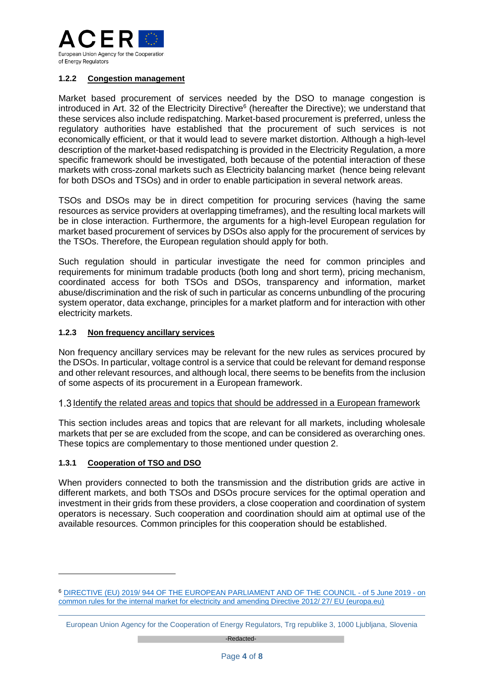

## **1.2.2 Congestion management**

Market based procurement of services needed by the DSO to manage congestion is introduced in Art. 32 of the Electricity Directive<sup>6</sup> (hereafter the Directive); we understand that these services also include redispatching. Market-based procurement is preferred, unless the regulatory authorities have established that the procurement of such services is not economically efficient, or that it would lead to severe market distortion. Although a high-level description of the market-based redispatching is provided in the Electricity Regulation, a more specific framework should be investigated, both because of the potential interaction of these markets with cross-zonal markets such as Electricity balancing market (hence being relevant for both DSOs and TSOs) and in order to enable participation in several network areas.

TSOs and DSOs may be in direct competition for procuring services (having the same resources as service providers at overlapping timeframes), and the resulting local markets will be in close interaction. Furthermore, the arguments for a high-level European regulation for market based procurement of services by DSOs also apply for the procurement of services by the TSOs. Therefore, the European regulation should apply for both.

Such regulation should in particular investigate the need for common principles and requirements for minimum tradable products (both long and short term), pricing mechanism, coordinated access for both TSOs and DSOs, transparency and information, market abuse/discrimination and the risk of such in particular as concerns unbundling of the procuring system operator, data exchange, principles for a market platform and for interaction with other electricity markets.

## **1.2.3 Non frequency ancillary services**

Non frequency ancillary services may be relevant for the new rules as services procured by the DSOs. In particular, voltage control is a service that could be relevant for demand response and other relevant resources, and although local, there seems to be benefits from the inclusion of some aspects of its procurement in a European framework.

#### 1.3 Identify the related areas and topics that should be addressed in a European framework

This section includes areas and topics that are relevant for all markets, including wholesale markets that per se are excluded from the scope, and can be considered as overarching ones. These topics are complementary to those mentioned under question 2.

#### **1.3.1 Cooperation of TSO and DSO**

-

When providers connected to both the transmission and the distribution grids are active in different markets, and both TSOs and DSOs procure services for the optimal operation and investment in their grids from these providers, a close cooperation and coordination of system operators is necessary. Such cooperation and coordination should aim at optimal use of the available resources. Common principles for this cooperation should be established.

<sup>6</sup> [DIRECTIVE \(EU\) 2019/ 944 OF THE EUROPEAN PARLIAMENT AND OF THE](https://eur-lex.europa.eu/legal-content/EN/TXT/PDF/?uri=CELEX:32019L0944&from=EN) COUNCIL - of 5 June 2019 - on [common rules for the internal market for electricity and amending Directive 2012/ 27/ EU \(europa.eu\)](https://eur-lex.europa.eu/legal-content/EN/TXT/PDF/?uri=CELEX:32019L0944&from=EN)

European Union Agency for the Cooperation of Energy Regulators, Trg republike 3, 1000 Ljubljana, Slovenia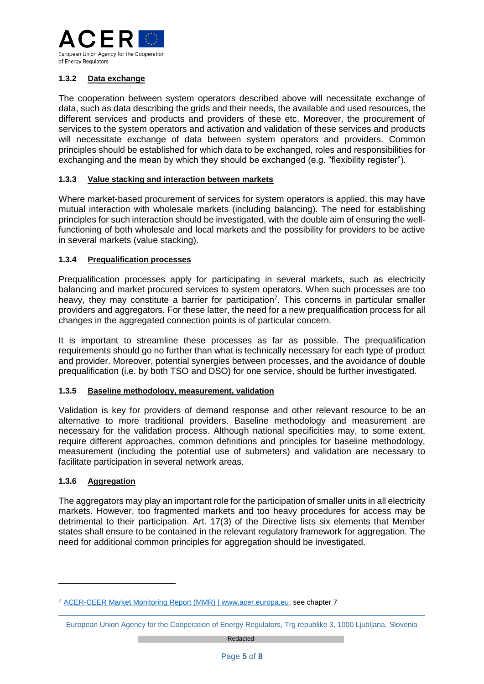

# **1.3.2 Data exchange**

The cooperation between system operators described above will necessitate exchange of data, such as data describing the grids and their needs, the available and used resources, the different services and products and providers of these etc. Moreover, the procurement of services to the system operators and activation and validation of these services and products will necessitate exchange of data between system operators and providers. Common principles should be established for which data to be exchanged, roles and responsibilities for exchanging and the mean by which they should be exchanged (e.g. "flexibility register").

#### **1.3.3 Value stacking and interaction between markets**

Where market-based procurement of services for system operators is applied, this may have mutual interaction with wholesale markets (including balancing). The need for establishing principles for such interaction should be investigated, with the double aim of ensuring the wellfunctioning of both wholesale and local markets and the possibility for providers to be active in several markets (value stacking).

#### **1.3.4 Prequalification processes**

Prequalification processes apply for participating in several markets, such as electricity balancing and market procured services to system operators. When such processes are too heavy, they may constitute a barrier for participation<sup>7</sup>. This concerns in particular smaller providers and aggregators. For these latter, the need for a new prequalification process for all changes in the aggregated connection points is of particular concern.

It is important to streamline these processes as far as possible. The prequalification requirements should go no further than what is technically necessary for each type of product and provider. Moreover, potential synergies between processes, and the avoidance of double prequalification (i.e. by both TSO and DSO) for one service, should be further investigated.

### **1.3.5 Baseline methodology, measurement, validation**

Validation is key for providers of demand response and other relevant resource to be an alternative to more traditional providers. Baseline methodology and measurement are necessary for the validation process. Although national specificities may, to some extent, require different approaches, common definitions and principles for baseline methodology, measurement (including the potential use of submeters) and validation are necessary to facilitate participation in several network areas.

#### **1.3.6 Aggregation**

-

The aggregators may play an important role for the participation of smaller units in all electricity markets. However, too fragmented markets and too heavy procedures for access may be detrimental to their participation. Art. 17(3) of the Directive lists six elements that Member states shall ensure to be contained in the relevant regulatory framework for aggregation. The need for additional common principles for aggregation should be investigated.

<sup>7</sup> [ACER-CEER Market Monitoring Report \(MMR\) | www.acer.europa.eu,](https://www.acer.europa.eu/electricity/market-monitoring-report) see chapter 7

European Union Agency for the Cooperation of Energy Regulators, Trg republike 3, 1000 Ljubljana, Slovenia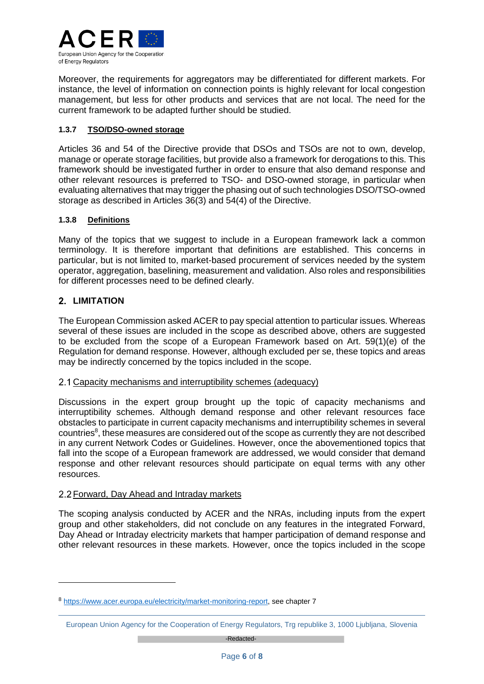

Moreover, the requirements for aggregators may be differentiated for different markets. For instance, the level of information on connection points is highly relevant for local congestion management, but less for other products and services that are not local. The need for the current framework to be adapted further should be studied.

## **1.3.7 TSO/DSO-owned storage**

Articles 36 and 54 of the Directive provide that DSOs and TSOs are not to own, develop, manage or operate storage facilities, but provide also a framework for derogations to this. This framework should be investigated further in order to ensure that also demand response and other relevant resources is preferred to TSO- and DSO-owned storage, in particular when evaluating alternatives that may trigger the phasing out of such technologies DSO/TSO-owned storage as described in Articles 36(3) and 54(4) of the Directive.

## **1.3.8 Definitions**

Many of the topics that we suggest to include in a European framework lack a common terminology. It is therefore important that definitions are established. This concerns in particular, but is not limited to, market-based procurement of services needed by the system operator, aggregation, baselining, measurement and validation. Also roles and responsibilities for different processes need to be defined clearly.

# **LIMITATION**

 $\overline{a}$ 

The European Commission asked ACER to pay special attention to particular issues. Whereas several of these issues are included in the scope as described above, others are suggested to be excluded from the scope of a European Framework based on Art. 59(1)(e) of the Regulation for demand response. However, although excluded per se, these topics and areas may be indirectly concerned by the topics included in the scope.

# 2.1 Capacity mechanisms and interruptibility schemes (adequacy)

Discussions in the expert group brought up the topic of capacity mechanisms and interruptibility schemes. Although demand response and other relevant resources face obstacles to participate in current capacity mechanisms and interruptibility schemes in several countries<sup>8</sup>, these measures are considered out of the scope as currently they are not described in any current Network Codes or Guidelines. However, once the abovementioned topics that fall into the scope of a European framework are addressed, we would consider that demand response and other relevant resources should participate on equal terms with any other resources.

# 2.2 Forward, Day Ahead and Intraday markets

The scoping analysis conducted by ACER and the NRAs, including inputs from the expert group and other stakeholders, did not conclude on any features in the integrated Forward, Day Ahead or Intraday electricity markets that hamper participation of demand response and other relevant resources in these markets. However, once the topics included in the scope

<sup>8</sup> [https://www.acer.europa.eu/electricity/market-monitoring-report,](https://www.acer.europa.eu/electricity/market-monitoring-report) see chapter 7

European Union Agency for the Cooperation of Energy Regulators, Trg republike 3, 1000 Ljubljana, Slovenia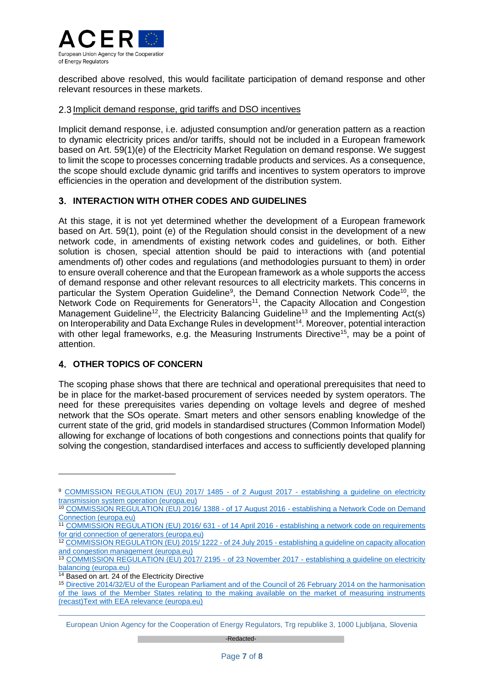

described above resolved, this would facilitate participation of demand response and other relevant resources in these markets.

## 2.3 Implicit demand response, grid tariffs and DSO incentives

Implicit demand response, i.e. adjusted consumption and/or generation pattern as a reaction to dynamic electricity prices and/or tariffs, should not be included in a European framework based on Art. 59(1)(e) of the Electricity Market Regulation on demand response. We suggest to limit the scope to processes concerning tradable products and services. As a consequence, the scope should exclude dynamic grid tariffs and incentives to system operators to improve efficiencies in the operation and development of the distribution system.

# **INTERACTION WITH OTHER CODES AND GUIDELINES**

At this stage, it is not yet determined whether the development of a European framework based on Art. 59(1), point (e) of the Regulation should consist in the development of a new network code, in amendments of existing network codes and guidelines, or both. Either solution is chosen, special attention should be paid to interactions with (and potential amendments of) other codes and regulations (and methodologies pursuant to them) in order to ensure overall coherence and that the European framework as a whole supports the access of demand response and other relevant resources to all electricity markets. This concerns in particular the System Operation Guideline<sup>9</sup>, the Demand Connection Network Code<sup>10</sup>, the Network Code on Requirements for Generators<sup>11</sup>, the Capacity Allocation and Congestion Management Guideline<sup>12</sup>, the Electricity Balancing Guideline<sup>13</sup> and the Implementing Act(s) on Interoperability and Data Exchange Rules in development<sup>14</sup>. Moreover, potential interaction with other legal frameworks, e.g. the Measuring Instruments Directive<sup>15</sup>, may be a point of attention.

# **OTHER TOPICS OF CONCERN**

-

The scoping phase shows that there are technical and operational prerequisites that need to be in place for the market-based procurement of services needed by system operators. The need for these prerequisites varies depending on voltage levels and degree of meshed network that the SOs operate. Smart meters and other sensors enabling knowledge of the current state of the grid, grid models in standardised structures (Common Information Model) allowing for exchange of locations of both congestions and connections points that qualify for solving the congestion, standardised interfaces and access to sufficiently developed planning

<sup>9</sup> [COMMISSION REGULATION \(EU\) 2017/ 1485 -](https://eur-lex.europa.eu/legal-content/EN/TXT/PDF/?uri=CELEX:32017R1485&from=EN) of 2 August 2017 - establishing a guideline on electricity [transmission system operation \(europa.eu\)](https://eur-lex.europa.eu/legal-content/EN/TXT/PDF/?uri=CELEX:32017R1485&from=EN)

<sup>10</sup> [COMMISSION REGULATION \(EU\) 2016/ 1388 -](https://eur-lex.europa.eu/legal-content/EN/TXT/PDF/?uri=CELEX:32016R1388&from=EN) of 17 August 2016 - establishing a Network Code on Demand [Connection \(europa.eu\)](https://eur-lex.europa.eu/legal-content/EN/TXT/PDF/?uri=CELEX:32016R1388&from=EN)

<sup>11</sup> [COMMISSION REGULATION \(EU\) 2016/ 631 -](https://eur-lex.europa.eu/legal-content/EN/TXT/PDF/?uri=CELEX:32016R0631&from=EN) of 14 April 2016 - establishing a network code on requirements [for grid connection of generators \(europa.eu\)](https://eur-lex.europa.eu/legal-content/EN/TXT/PDF/?uri=CELEX:32016R0631&from=EN)

<sup>12</sup> [COMMISSION REGULATION \(EU\) 2015/ 1222 -](https://eur-lex.europa.eu/legal-content/EN/TXT/PDF/?uri=CELEX:32015R1222&from=EN) of 24 July 2015 - establishing a guideline on capacity allocation [and congestion management \(europa.eu\)](https://eur-lex.europa.eu/legal-content/EN/TXT/PDF/?uri=CELEX:32015R1222&from=EN)

<sup>13</sup> [COMMISSION REGULATION \(EU\) 2017/ 2195 -](https://eur-lex.europa.eu/legal-content/EN/TXT/PDF/?uri=CELEX:32017R2195&from=EN) of 23 November 2017 - establishing a guideline on electricity [balancing \(europa.eu\)](https://eur-lex.europa.eu/legal-content/EN/TXT/PDF/?uri=CELEX:32017R2195&from=EN)

<sup>&</sup>lt;sup>14</sup> Based on art. 24 of the Electricity Directive

<sup>15</sup> [Directive 2014/32/EU of the European Parliament and of the Council of 26 February 2014 on the harmonisation](https://eur-lex.europa.eu/legal-content/EN/TXT/PDF/?uri=CELEX:32014L0032&from=EN)  [of the laws of the Member States relating to the making available on the market of measuring instruments](https://eur-lex.europa.eu/legal-content/EN/TXT/PDF/?uri=CELEX:32014L0032&from=EN)  [\(recast\)Text with EEA relevance \(europa.eu\)](https://eur-lex.europa.eu/legal-content/EN/TXT/PDF/?uri=CELEX:32014L0032&from=EN)

European Union Agency for the Cooperation of Energy Regulators, Trg republike 3, 1000 Ljubljana, Slovenia